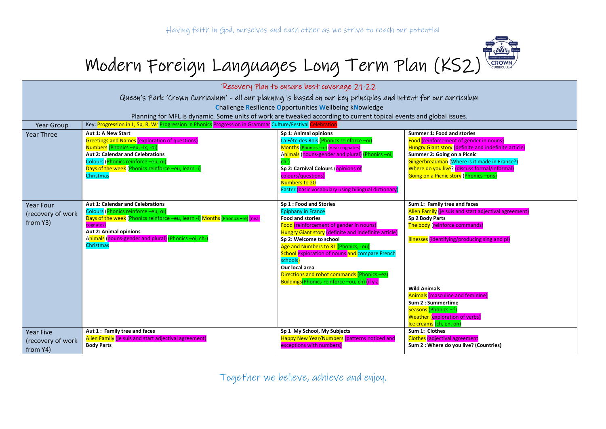

## Modern Foreign Languages Long Term Plan (KS2)

| Recovery Plan to ensure best coverage 21-22<br>Queen's Park 'Crown Curriculum' - all our planning is based on our key principles and intent for our curriculum<br><b>Challenge Resilience Opportunities Wellbeing kNowledge</b><br>Planning for MFL is dynamic. Some units of work are tweaked according to current topical events and global issues. |                                                                                                                                                                                                                                                                                    |                                                                                                                                                                                                                                                                                                                                                                                                                                      |                                                                                                                                                                                                                                                                                                                                                                               |  |
|-------------------------------------------------------------------------------------------------------------------------------------------------------------------------------------------------------------------------------------------------------------------------------------------------------------------------------------------------------|------------------------------------------------------------------------------------------------------------------------------------------------------------------------------------------------------------------------------------------------------------------------------------|--------------------------------------------------------------------------------------------------------------------------------------------------------------------------------------------------------------------------------------------------------------------------------------------------------------------------------------------------------------------------------------------------------------------------------------|-------------------------------------------------------------------------------------------------------------------------------------------------------------------------------------------------------------------------------------------------------------------------------------------------------------------------------------------------------------------------------|--|
| Key: Progression in L, Sp, R, Wr Progression in Phonics Progression in Grammar Culture/Festival<br>elebration<br><b>Year Group</b>                                                                                                                                                                                                                    |                                                                                                                                                                                                                                                                                    |                                                                                                                                                                                                                                                                                                                                                                                                                                      |                                                                                                                                                                                                                                                                                                                                                                               |  |
| <b>Year Three</b>                                                                                                                                                                                                                                                                                                                                     | Aut 1: A New Start<br><b>Greetings and Names (exploration of questions)</b><br>Numbers (Phonics -eu, -ix, -oi)<br><b>Aut 2: Calendar and Celebrations</b><br>Colours (Phonics reinforce -eu, oi)<br>Days of the week (Phonics reinforce -eu, learn -i<br><b>Christmas</b>          | Sp 1: Animal opinions<br>La Fête des Rois (Phonics reinforce -oi)<br>Months (Phonics -re) (near cognates)<br>Animals (nouns-gender and plural) (Phonics -oi,<br>$ch-$<br>Sp 2: Carnival Colours (opinions of<br>colours/questions)<br>Numbers to 20<br>Easter (basic vocabulary using bilingual dictionary)                                                                                                                          | <b>Summer 1: Food and stories</b><br>Food (reinforcement of gender in nouns)<br>Hungry Giant story (definite and indefinite article)<br>Summer 2: Going on a Picnic<br>Gingerbreadman (Where is it made in France?)<br>Where do you live? (discuss formal/informal)<br>Going on a Picnic story (Phonics -ons)                                                                 |  |
| <b>Year Four</b><br>(recovery of work<br>from Y3)                                                                                                                                                                                                                                                                                                     | <b>Aut 1: Calendar and Celebrations</b><br>Colours (Phonics reinforce -eu, oi)<br>Days of the week (Phonics reinforce -eu, learn -i) Months (Phonics -re) (near<br>cognates)<br>Aut 2: Animal opinions<br>Animals (nouns-gender and plural) (Phonics -oi, ch-)<br><b>Christmas</b> | Sp 1 : Food and Stories<br><b>Epiphany in France</b><br><b>Food and stories</b><br>Food (reinforcement of gender in nouns)<br>Hungry Giant story (definite and indefinite article)<br>Sp 2: Welcome to school<br>Age and Numbers to 31 (Phonics, -ou)<br>School exploration of nouns and compare French<br>schools)<br>Our local area<br>Directions and robot commands (Phonics -ez)<br>Buildings(Phonics-reinforce -ou, ch) (il y a | Sum 1: Family tree and faces<br>Alien Family (je suis and start adjectival agreement)<br>Sp 2 Body Parts<br>The body (reinforce commands)<br>Illnesses (identifying/producing sing and pl)<br><b>Wild Animals</b><br><b>Animals (masculine and feminine)</b><br>Sum 2 : Summertime<br>Seasons (Phonics -é)<br><b>Weather (exploration of verbs)</b><br>Ice creams (ch, en, on |  |
| <b>Year Five</b><br>(recovery of work<br>from Y4)                                                                                                                                                                                                                                                                                                     | Aut 1: Family tree and faces<br>Alien Family (je suis and start adjectival agreement)<br><b>Body Parts</b>                                                                                                                                                                         | Sp 1 My School, My Subjects<br>Happy New Year/Numbers (patterns noticed and<br>exceptions with numbers)                                                                                                                                                                                                                                                                                                                              | Sum 1: Clothes<br><b>Clothes</b> (adjectival agreement<br>Sum 2 : Where do you live? (Countries)                                                                                                                                                                                                                                                                              |  |

Together we believe, achieve and enjoy.